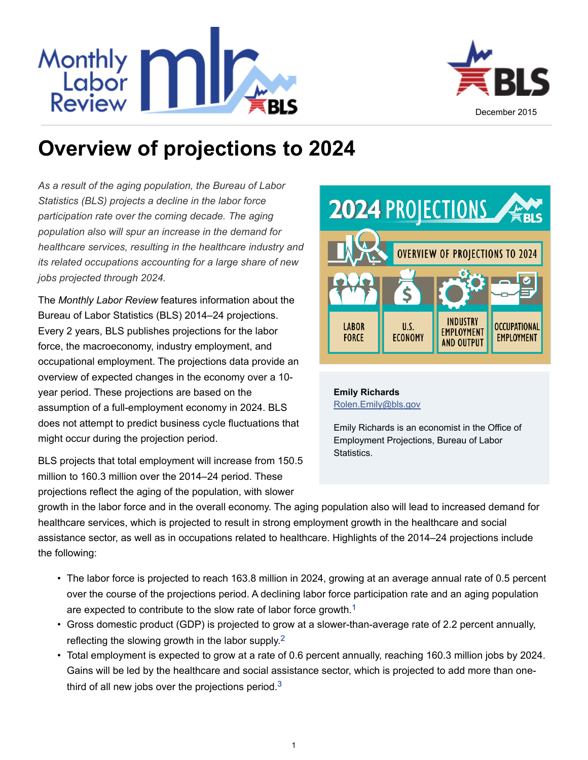



# **Overview of projections to 2024**

*As a result of the aging population, the Bureau of Labor Statistics (BLS) projects a decline in the labor force participation rate over the coming decade. The aging population also will spur an increase in the demand for healthcare services, resulting in the healthcare industry and its related occupations accounting for a large share of new jobs projected through 2024.*

The *Monthly Labor Review* features information about the Bureau of Labor Statistics (BLS) 2014–24 projections. Every 2 years, BLS publishes projections for the labor force, the macroeconomy, industry employment, and occupational employment. The projections data provide an overview of expected changes in the economy over a 10 year period. These projections are based on the assumption of a full-employment economy in 2024. BLS does not attempt to predict business cycle fluctuations that might occur during the projection period.

BLS projects that total employment will increase from 150.5 million to 160.3 million over the 2014–24 period. These projections reflect the aging of the population, with slower



#### **[Emily Richards](http://www.bls.gov/opub/mlr/author/richards-emily.htm)** [Rolen.Emily@bls.gov](mailto:Rolen.Emily@bls.gov)

<span id="page-0-1"></span><span id="page-0-0"></span>Emily Richards is an economist in the Office of Employment Projections, Bureau of Labor Statistics.

growth in the labor force and in the overall economy. The aging population also will lead to increased demand for healthcare services, which is projected to result in strong employment growth in the healthcare and social assistance sector, as well as in occupations related to healthcare. Highlights of the 2014–24 projections include the following:

- The labor force is projected to reach 163.8 million in 2024, growing at an average annual rate of 0.5 percent over the course of the projections period. A declining labor force participation rate and an aging population are expected to contribute to the slow rate of labor force growth.<sup>[1](#page-2-0)</sup>
- Gross domestic product (GDP) is projected to grow at a slower-than-average rate of 2.2 percent annually, reflecting the slowing growth in the labor supply.<sup>[2](#page-2-1)</sup>
- <span id="page-0-2"></span>• Total employment is expected to grow at a rate of 0.6 percent annually, reaching 160.3 million jobs by 2024. Gains will be led by the healthcare and social assistance sector, which is projected to add more than onethird of all new jobs over the projections period. $3$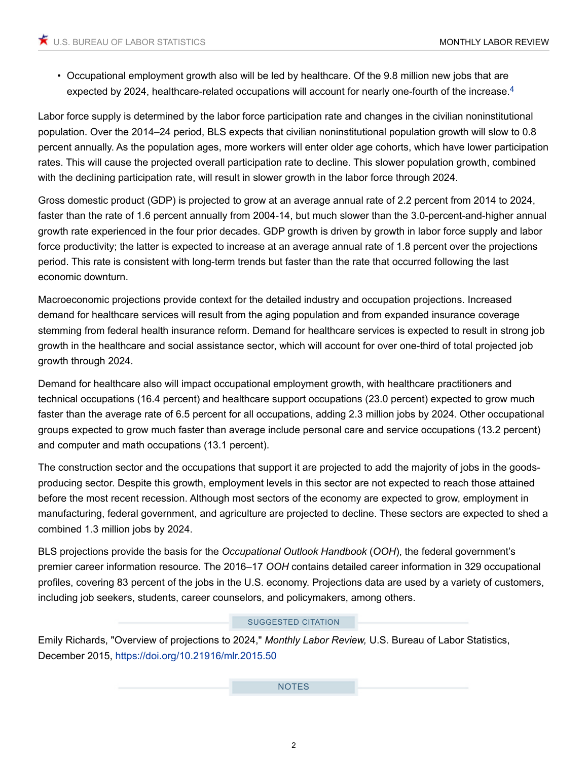<span id="page-1-0"></span>• Occupational employment growth also will be led by healthcare. Of the 9.8 million new jobs that are expected by 202[4](#page-2-3), healthcare-related occupations will account for nearly one-fourth of the increase.<sup>4</sup>

Labor force supply is determined by the labor force participation rate and changes in the civilian noninstitutional population. Over the 2014–24 period, BLS expects that civilian noninstitutional population growth will slow to 0.8 percent annually. As the population ages, more workers will enter older age cohorts, which have lower participation rates. This will cause the projected overall participation rate to decline. This slower population growth, combined with the declining participation rate, will result in slower growth in the labor force through 2024.

Gross domestic product (GDP) is projected to grow at an average annual rate of 2.2 percent from 2014 to 2024, faster than the rate of 1.6 percent annually from 2004-14, but much slower than the 3.0-percent-and-higher annual growth rate experienced in the four prior decades. GDP growth is driven by growth in labor force supply and labor force productivity; the latter is expected to increase at an average annual rate of 1.8 percent over the projections period. This rate is consistent with long-term trends but faster than the rate that occurred following the last economic downturn.

Macroeconomic projections provide context for the detailed industry and occupation projections. Increased demand for healthcare services will result from the aging population and from expanded insurance coverage stemming from federal health insurance reform. Demand for healthcare services is expected to result in strong job growth in the healthcare and social assistance sector, which will account for over one-third of total projected job growth through 2024.

Demand for healthcare also will impact occupational employment growth, with healthcare practitioners and technical occupations (16.4 percent) and healthcare support occupations (23.0 percent) expected to grow much faster than the average rate of 6.5 percent for all occupations, adding 2.3 million jobs by 2024. Other occupational groups expected to grow much faster than average include personal care and service occupations (13.2 percent) and computer and math occupations (13.1 percent).

The construction sector and the occupations that support it are projected to add the majority of jobs in the goodsproducing sector. Despite this growth, employment levels in this sector are not expected to reach those attained before the most recent recession. Although most sectors of the economy are expected to grow, employment in manufacturing, federal government, and agriculture are projected to decline. These sectors are expected to shed a combined 1.3 million jobs by 2024.

BLS projections provide the basis for the *Occupational Outlook Handbook* (*OOH*), the federal government's premier career information resource. The 2016–17 *OOH* contains detailed career information in 329 occupational profiles, covering 83 percent of the jobs in the U.S. economy. Projections data are used by a variety of customers, including job seekers, students, career counselors, and policymakers, among others.

#### SUGGESTED CITATION

Emily Richards, "Overview of projections to 2024," *Monthly Labor Review,* U.S. Bureau of Labor Statistics, December 2015,<https://doi.org/10.21916/mlr.2015.50>

NOTES